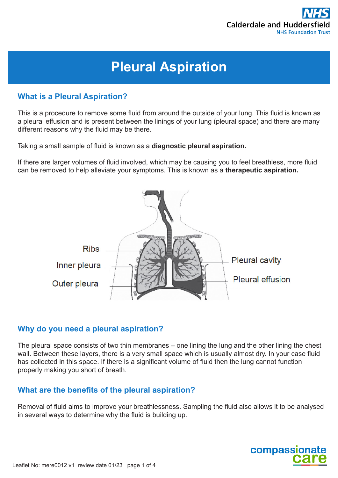

# **Pleural Aspiration**

## **What is a Pleural Aspiration?**

This is a procedure to remove some fluid from around the outside of your lung. This fluid is known as a pleural effusion and is present between the linings of your lung (pleural space) and there are many different reasons why the fluid may be there.

Taking a small sample of fluid is known as a **diagnostic pleural aspiration.** 

If there are larger volumes of fluid involved, which may be causing you to feel breathless, more fluid can be removed to help alleviate your symptoms. This is known as a **therapeutic aspiration.** 



## **Why do you need a pleural aspiration?**

The pleural space consists of two thin membranes – one lining the lung and the other lining the chest wall. Between these layers, there is a very small space which is usually almost dry. In your case fluid has collected in this space. If there is a significant volume of fluid then the lung cannot function properly making you short of breath.

## **What are the benefits of the pleural aspiration?**

Removal of fluid aims to improve your breathlessness. Sampling the fluid also allows it to be analysed in several ways to determine why the fluid is building up.

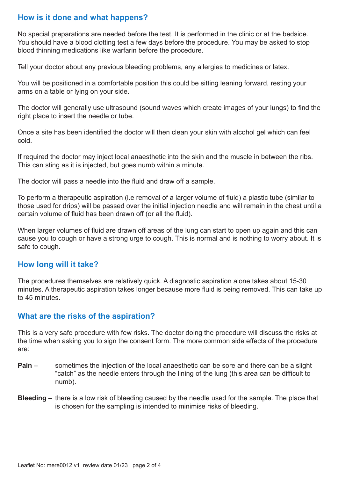## **How is it done and what happens?**

No special preparations are needed before the test. It is performed in the clinic or at the bedside. You should have a blood clotting test a few days before the procedure. You may be asked to stop blood thinning medications like warfarin before the procedure.

Tell your doctor about any previous bleeding problems, any allergies to medicines or latex.

You will be positioned in a comfortable position this could be sitting leaning forward, resting your arms on a table or lying on your side.

The doctor will generally use ultrasound (sound waves which create images of your lungs) to find the right place to insert the needle or tube.

Once a site has been identified the doctor will then clean your skin with alcohol gel which can feel cold.

If required the doctor may inject local anaesthetic into the skin and the muscle in between the ribs. This can sting as it is injected, but goes numb within a minute.

The doctor will pass a needle into the fluid and draw off a sample.

To perform a therapeutic aspiration (i.e removal of a larger volume of fluid) a plastic tube (similar to those used for drips) will be passed over the initial injection needle and will remain in the chest until a certain volume of fluid has been drawn off (or all the fluid).

When larger volumes of fluid are drawn off areas of the lung can start to open up again and this can cause you to cough or have a strong urge to cough. This is normal and is nothing to worry about. It is safe to cough.

#### **How long will it take?**

The procedures themselves are relatively quick. A diagnostic aspiration alone takes about 15-30 minutes. A therapeutic aspiration takes longer because more fluid is being removed. This can take up to 45 minutes.

#### **What are the risks of the aspiration?**

This is a very safe procedure with few risks. The doctor doing the procedure will discuss the risks at the time when asking you to sign the consent form. The more common side effects of the procedure are:

- **Pain** sometimes the injection of the local anaesthetic can be sore and there can be a slight "catch" as the needle enters through the lining of the lung (this area can be difficult to numb).
- **Bleeding** there is a low risk of bleeding caused by the needle used for the sample. The place that is chosen for the sampling is intended to minimise risks of bleeding.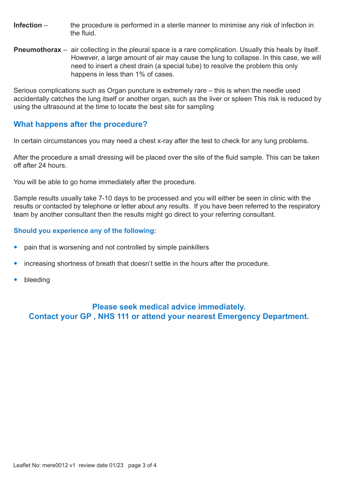- **Infection** the procedure is performed in a sterile manner to minimise any risk of infection in the fluid.
- **Pneumothorax** air collecting in the pleural space is a rare complication. Usually this heals by itself. However, a large amount of air may cause the lung to collapse. In this case, we will need to insert a chest drain (a special tube) to resolve the problem this only happens in less than 1% of cases.

Serious complications such as Organ puncture is extremely rare – this is when the needle used accidentally catches the lung itself or another organ, such as the liver or spleen This risk is reduced by using the ultrasound at the time to locate the best site for sampling

## **What happens after the procedure?**

In certain circumstances you may need a chest x-ray after the test to check for any lung problems.

After the procedure a small dressing will be placed over the site of the fluid sample. This can be taken off after 24 hours.

You will be able to go home immediately after the procedure.

Sample results usually take 7-10 days to be processed and you will either be seen in clinic with the results or contacted by telephone or letter about any results. If you have been referred to the respiratory team by another consultant then the results might go direct to your referring consultant.

#### **Should you experience any of the following:**

- pain that is worsening and not controlled by simple painkillers
- increasing shortness of breath that doesn't settle in the hours after the procedure.
- bleeding

## **Please seek medical advice immediately. Contact your GP , NHS 111 or attend your nearest Emergency Department.**